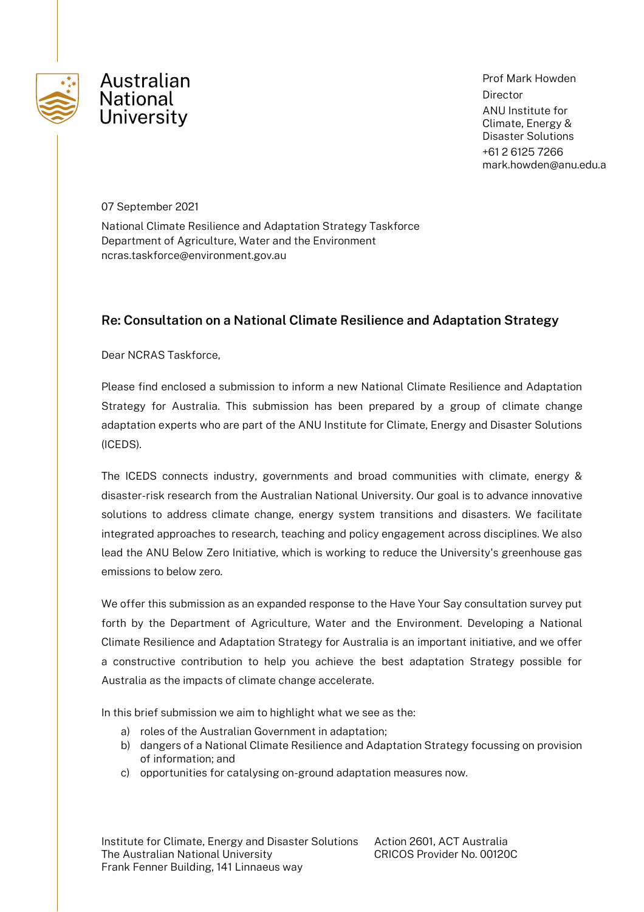

Prof Mark Howden Director ANU Institute for Climate, Energy & Disaster Solutions +61 2 6125 7266 mark.howden@anu.edu.a

07 September 2021

National Climate Resilience and Adaptation Strategy Taskforce Department of Agriculture, Water and the Environment ncras.taskforce@environment.gov.au

# **Re: Consultation on a National Climate Resilience and Adaptation Strategy**

Dear NCRAS Taskforce,

Please find enclosed a submission to inform a new National Climate Resilience and Adaptation Strategy for Australia. This submission has been prepared by a group of climate change adaptation experts who are part of the ANU Institute for Climate, Energy and Disaster Solutions (ICEDS).

The ICEDS connects industry, governments and broad communities with climate, energy & disaster-risk research from the Australian National University. Our goal is to advance innovative solutions to address climate change, energy system transitions and disasters. We facilitate integrated approaches to research, teaching and policy engagement across disciplines. We also lead the ANU Below Zero Initiative, which is working to reduce the University's greenhouse gas emissions to below zero.

We offer this submission as an expanded response to the Have Your Say consultation survey put forth by the Department of Agriculture, Water and the Environment. Developing a National Climate Resilience and Adaptation Strategy for Australia is an important initiative, and we offer a constructive contribution to help you achieve the best adaptation Strategy possible for Australia as the impacts of climate change accelerate.

In this brief submission we aim to highlight what we see as the:

- a) roles of the Australian Government in adaptation;
- b) dangers of a National Climate Resilience and Adaptation Strategy focussing on provision of information; and
- c) opportunities for catalysing on-ground adaptation measures now.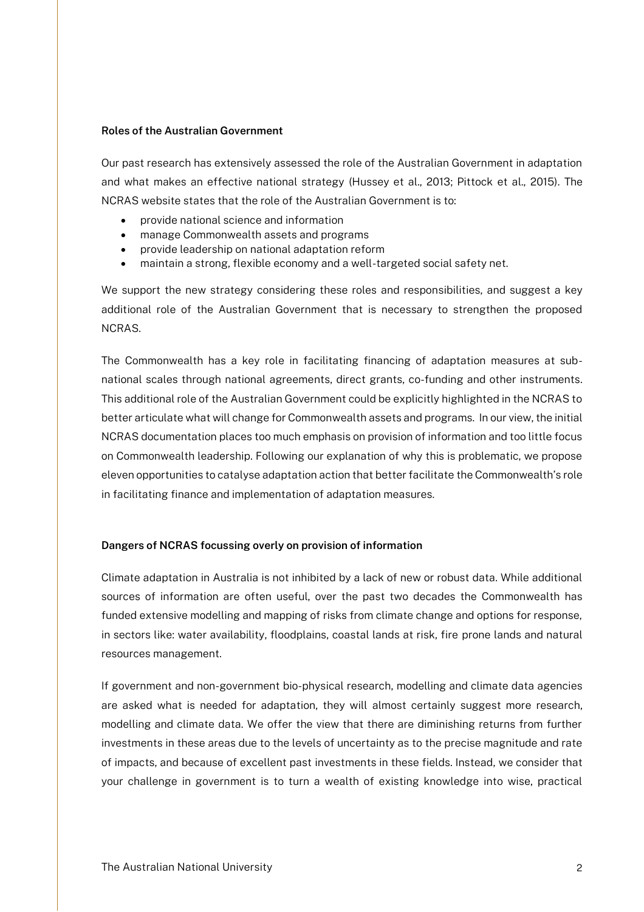#### **Roles of the Australian Government**

Our past research has extensively assessed the role of the Australian Government in adaptation and what makes an effective national strategy (Hussey et al., 2013; Pittock et al., 2015). The NCRAS website states that the role of the Australian Government is to:

- provide national science and information
- manage Commonwealth assets and programs
- provide leadership on national adaptation reform
- maintain a strong, flexible economy and a well-targeted social safety net.

We support the new strategy considering these roles and responsibilities, and suggest a key additional role of the Australian Government that is necessary to strengthen the proposed **NCRAS** 

The Commonwealth has a key role in facilitating financing of adaptation measures at subnational scales through national agreements, direct grants, co-funding and other instruments. This additional role of the Australian Government could be explicitly highlighted in the NCRAS to better articulate what will change for Commonwealth assets and programs. In our view, the initial NCRAS documentation places too much emphasis on provision of information and too little focus on Commonwealth leadership. Following our explanation of why this is problematic, we propose eleven opportunities to catalyse adaptation action that better facilitate the Commonwealth's role in facilitating finance and implementation of adaptation measures.

#### **Dangers of NCRAS focussing overly on provision of information**

Climate adaptation in Australia is not inhibited by a lack of new or robust data. While additional sources of information are often useful, over the past two decades the Commonwealth has funded extensive modelling and mapping of risks from climate change and options for response, in sectors like: water availability, floodplains, coastal lands at risk, fire prone lands and natural resources management.

If government and non-government bio-physical research, modelling and climate data agencies are asked what is needed for adaptation, they will almost certainly suggest more research, modelling and climate data. We offer the view that there are diminishing returns from further investments in these areas due to the levels of uncertainty as to the precise magnitude and rate of impacts, and because of excellent past investments in these fields. Instead, we consider that your challenge in government is to turn a wealth of existing knowledge into wise, practical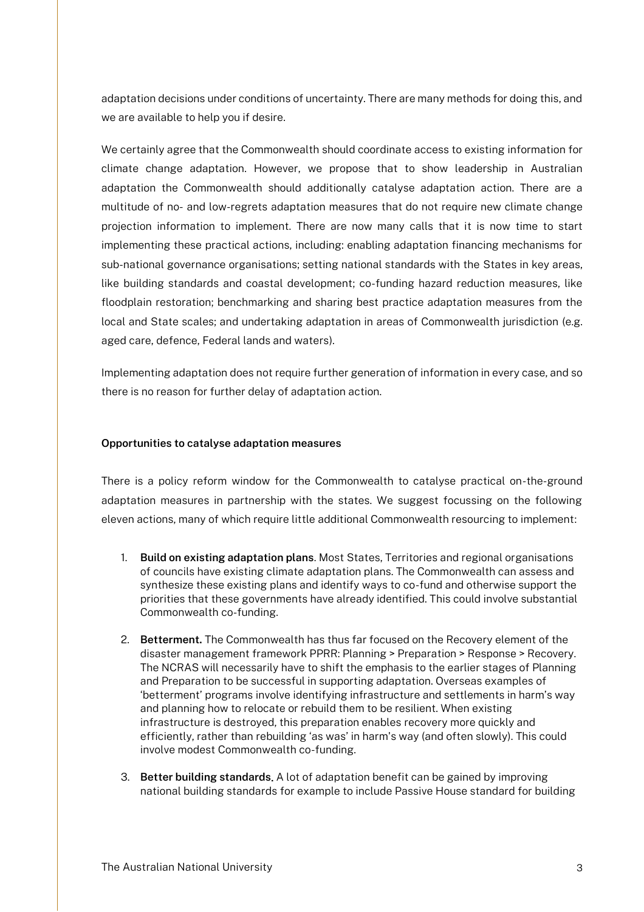adaptation decisions under conditions of uncertainty. There are many methods for doing this, and we are available to help you if desire.

We certainly agree that the Commonwealth should coordinate access to existing information for climate change adaptation. However, we propose that to show leadership in Australian adaptation the Commonwealth should additionally catalyse adaptation action. There are a multitude of no- and low-regrets adaptation measures that do not require new climate change projection information to implement. There are now many calls that it is now time to start implementing these practical actions, including: enabling adaptation financing mechanisms for sub-national governance organisations; setting national standards with the States in key areas, like building standards and coastal development; co-funding hazard reduction measures, like floodplain restoration; benchmarking and sharing best practice adaptation measures from the local and State scales; and undertaking adaptation in areas of Commonwealth jurisdiction (e.g. aged care, defence, Federal lands and waters).

Implementing adaptation does not require further generation of information in every case, and so there is no reason for further delay of adaptation action.

#### **Opportunities to catalyse adaptation measures**

There is a policy reform window for the Commonwealth to catalyse practical on-the-ground adaptation measures in partnership with the states. We suggest focussing on the following eleven actions, many of which require little additional Commonwealth resourcing to implement:

- 1. **Build on existing adaptation plans**. Most States, Territories and regional organisations of councils have existing climate adaptation plans. The Commonwealth can assess and synthesize these existing plans and identify ways to co-fund and otherwise support the priorities that these governments have already identified. This could involve substantial Commonwealth co-funding.
- 2. **Betterment.** The Commonwealth has thus far focused on the Recovery element of the disaster management framework PPRR: Planning > Preparation > Response > Recovery. The NCRAS will necessarily have to shift the emphasis to the earlier stages of Planning and Preparation to be successful in supporting adaptation. Overseas examples of 'betterment' programs involve identifying infrastructure and settlements in harm's way and planning how to relocate or rebuild them to be resilient. When existing infrastructure is destroyed, this preparation enables recovery more quickly and efficiently, rather than rebuilding 'as was' in harm's way (and often slowly). This could involve modest Commonwealth co-funding.
- 3. **Better building standards**. A lot of adaptation benefit can be gained by improving national building standards for example to include Passive House standard for building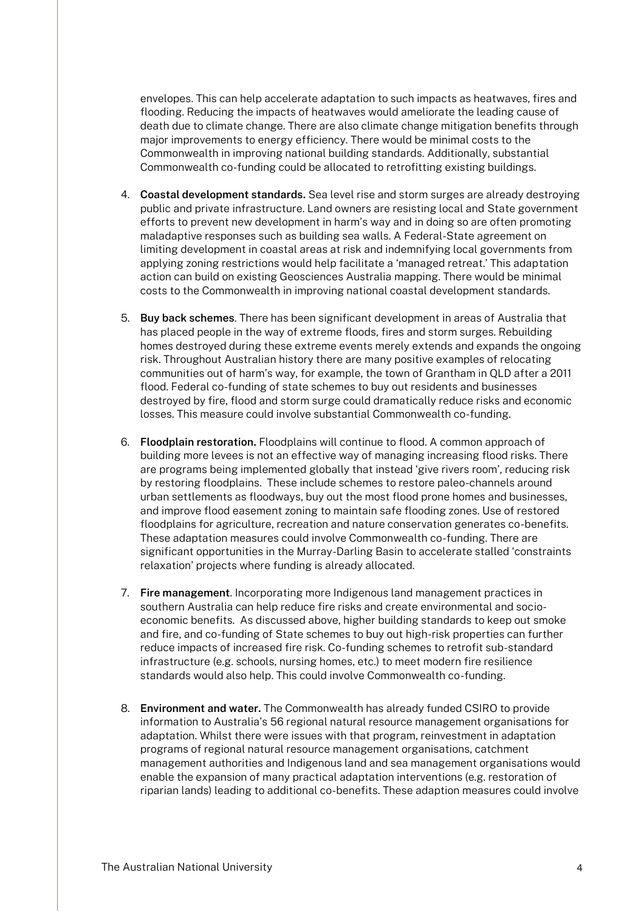envelopes. This can help accelerate adaptation to such impacts as heatwaves, fires and flooding. Reducing the impacts of heatwaves would ameliorate the leading cause of death due to climate change. There are also climate change mitigation benefits through major improvements to energy efficiency. There would be minimal costs to the Commonwealth in improving national building standards. Additionally, substantial Commonwealth co-funding could be allocated to retrofitting existing buildings.

- 4. **Coastal development standards.** Sea level rise and storm surges are already destroying public and private infrastructure. Land owners are resisting local and State government efforts to prevent new development in harm's way and in doing so are often promoting maladaptive responses such as building sea walls. A Federal-State agreement on limiting development in coastal areas at risk and indemnifying local governments from applying zoning restrictions would help facilitate a 'managed retreat.' This adaptation action can build on existing Geosciences Australia mapping. There would be minimal costs to the Commonwealth in improving national coastal development standards.
- 5. **Buy back schemes**. There has been significant development in areas of Australia that has placed people in the way of extreme floods, fires and storm surges. Rebuilding homes destroyed during these extreme events merely extends and expands the ongoing risk. Throughout Australian history there are many positive examples of relocating communities out of harm's way, for example, the town of Grantham in QLD after a 2011 flood. Federal co-funding of state schemes to buy out residents and businesses destroyed by fire, flood and storm surge could dramatically reduce risks and economic losses. This measure could involve substantial Commonwealth co-funding.
- 6. **Floodplain restoration.** Floodplains will continue to flood. A common approach of building more levees is not an effective way of managing increasing flood risks. There are programs being implemented globally that instead 'give rivers room', reducing risk by restoring floodplains. These include schemes to restore paleo-channels around urban settlements as floodways, buy out the most flood prone homes and businesses, and improve flood easement zoning to maintain safe flooding zones. Use of restored floodplains for agriculture, recreation and nature conservation generates co-benefits. These adaptation measures could involve Commonwealth co-funding. There are significant opportunities in the Murray-Darling Basin to accelerate stalled 'constraints relaxation' projects where funding is already allocated.
- 7. **Fire management**. Incorporating more Indigenous land management practices in southern Australia can help reduce fire risks and create environmental and socioeconomic benefits. As discussed above, higher building standards to keep out smoke and fire, and co-funding of State schemes to buy out high-risk properties can further reduce impacts of increased fire risk. Co-funding schemes to retrofit sub-standard infrastructure (e.g. schools, nursing homes, etc.) to meet modern fire resilience standards would also help. This could involve Commonwealth co-funding.
- 8. **Environment and water.** The Commonwealth has already funded CSIRO to provide information to Australia's 56 regional natural resource management organisations for adaptation. Whilst there were issues with that program, reinvestment in adaptation programs of regional natural resource management organisations, catchment management authorities and Indigenous land and sea management organisations would enable the expansion of many practical adaptation interventions (e.g. restoration of riparian lands) leading to additional co-benefits. These adaption measures could involve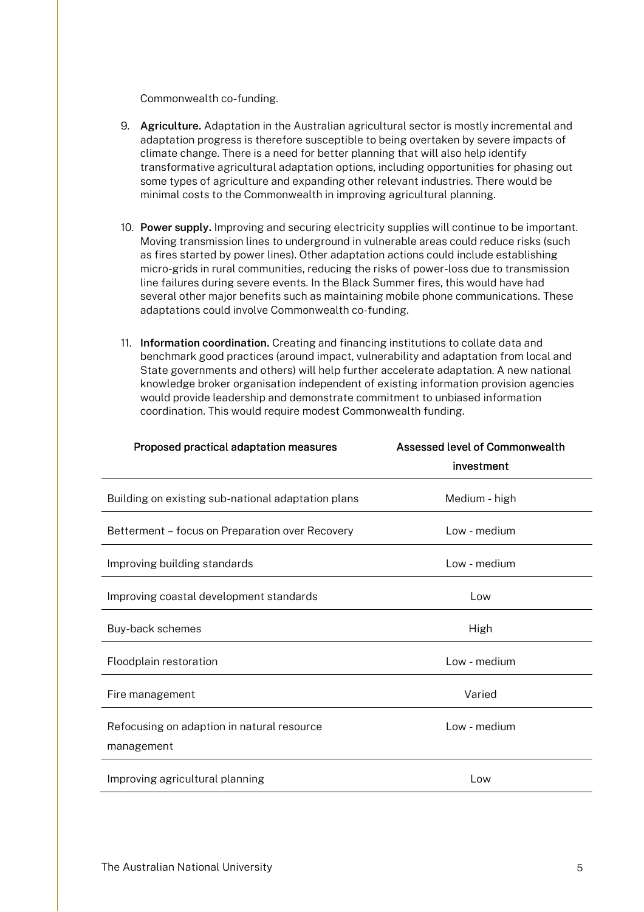Commonwealth co-funding.

- 9. **Agriculture.** Adaptation in the Australian agricultural sector is mostly incremental and adaptation progress is therefore susceptible to being overtaken by severe impacts of climate change. There is a need for better planning that will also help identify transformative agricultural adaptation options, including opportunities for phasing out some types of agriculture and expanding other relevant industries. There would be minimal costs to the Commonwealth in improving agricultural planning.
- 10. **Power supply.** Improving and securing electricity supplies will continue to be important. Moving transmission lines to underground in vulnerable areas could reduce risks (such as fires started by power lines). Other adaptation actions could include establishing micro-grids in rural communities, reducing the risks of power-loss due to transmission line failures during severe events. In the Black Summer fires, this would have had several other major benefits such as maintaining mobile phone communications. These adaptations could involve Commonwealth co-funding.
- 11. **Information coordination.** Creating and financing institutions to collate data and benchmark good practices (around impact, vulnerability and adaptation from local and State governments and others) will help further accelerate adaptation. A new national knowledge broker organisation independent of existing information provision agencies would provide leadership and demonstrate commitment to unbiased information coordination. This would require modest Commonwealth funding.

| Proposed practical adaptation measures                   | Assessed level of Commonwealth |
|----------------------------------------------------------|--------------------------------|
|                                                          | investment                     |
| Building on existing sub-national adaptation plans       | Medium - high                  |
| Betterment - focus on Preparation over Recovery          | Low - medium                   |
| Improving building standards                             | Low - medium                   |
| Improving coastal development standards                  | Low                            |
| Buy-back schemes                                         | High                           |
| Floodplain restoration                                   | Low - medium                   |
| Fire management                                          | Varied                         |
| Refocusing on adaption in natural resource<br>management | Low - medium                   |
| Improving agricultural planning                          | Low                            |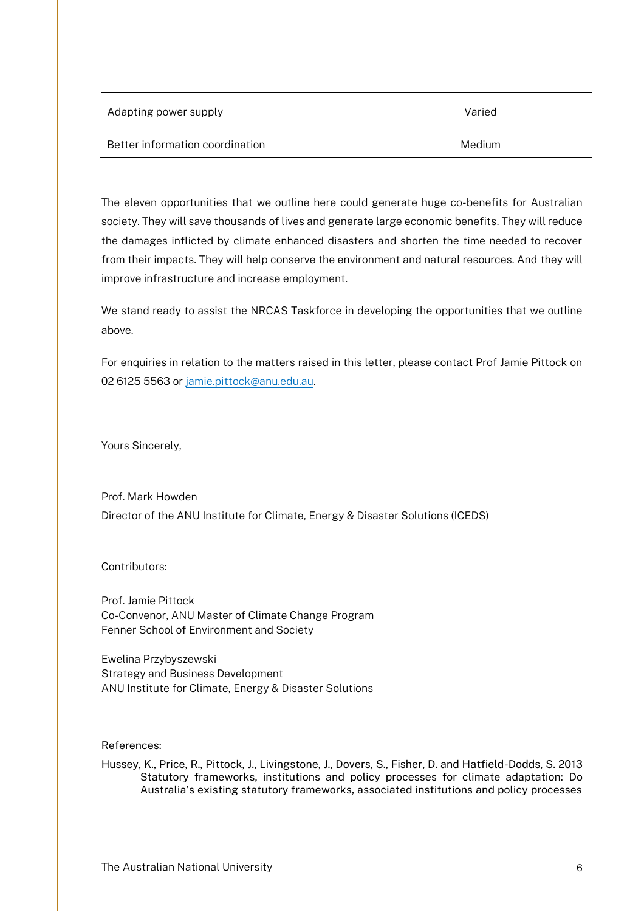| Adapting power supply           | Varied |
|---------------------------------|--------|
| Better information coordination | Medium |

The eleven opportunities that we outline here could generate huge co-benefits for Australian society. They will save thousands of lives and generate large economic benefits. They will reduce the damages inflicted by climate enhanced disasters and shorten the time needed to recover from their impacts. They will help conserve the environment and natural resources. And they will improve infrastructure and increase employment.

We stand ready to assist the NRCAS Taskforce in developing the opportunities that we outline above.

For enquiries in relation to the matters raised in this letter, please contact Prof Jamie Pittock on 02 6125 5563 o[r jamie.pittock@anu.edu.au.](mailto:jamie.pittock@anu.edu.au)

Yours Sincerely,

Prof. Mark Howden Director of the ANU Institute for Climate, Energy & Disaster Solutions (ICEDS)

## Contributors:

Prof. Jamie Pittock Co-Convenor, ANU Master of Climate Change Program Fenner School of Environment and Society

Ewelina Przybyszewski Strategy and Business Development ANU Institute for Climate, Energy & Disaster Solutions

### References:

Hussey, K., Price, R., Pittock, J., Livingstone, J., Dovers, S., Fisher, D. and Hatfield-Dodds, S. 2013 Statutory frameworks, institutions and policy processes for climate adaptation: Do Australia's existing statutory frameworks, associated institutions and policy processes